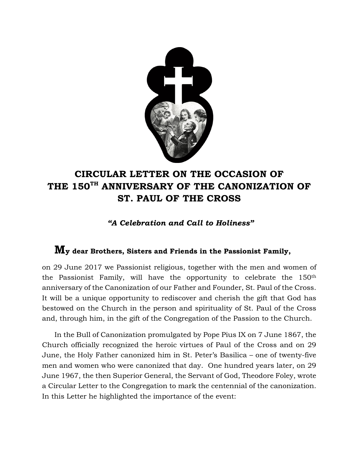

## **CIRCULAR LETTER ON THE OCCASION OF THE 150TH ANNIVERSARY OF THE CANONIZATION OF ST. PAUL OF THE CROSS**

*"A Celebration and Call to Holiness"*

## **My dear Brothers, Sisters and Friends in the Passionist Family,**

on 29 June 2017 we Passionist religious, together with the men and women of the Passionist Family, will have the opportunity to celebrate the 150th anniversary of the Canonization of our Father and Founder, St. Paul of the Cross. It will be a unique opportunity to rediscover and cherish the gift that God has bestowed on the Church in the person and spirituality of St. Paul of the Cross and, through him, in the gift of the Congregation of the Passion to the Church.

In the Bull of Canonization promulgated by Pope Pius IX on 7 June 1867, the Church officially recognized the heroic virtues of Paul of the Cross and on 29 June, the Holy Father canonized him in St. Peter's Basilica – one of twenty-five men and women who were canonized that day. One hundred years later, on 29 June 1967, the then Superior General, the Servant of God, Theodore Foley, wrote a Circular Letter to the Congregation to mark the centennial of the canonization. In this Letter he highlighted the importance of the event: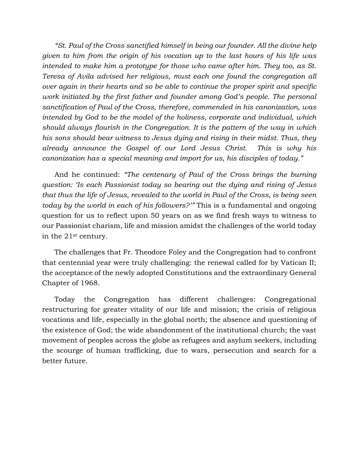*"St. Paul of the Cross sanctified himself in being our founder. All the divine help given to him from the origin of his vocation up to the last hours of his life was intended to make him a prototype for those who came after him. They too, as St. Teresa of Avila advised her religious, must each one found the congregation all over again in their hearts and so be able to continue the proper spirit and specific work initiated by the first father and founder among God's people. The personal sanctification of Paul of the Cross, therefore, commended in his canonization, was intended by God to be the model of the holiness, corporate and individual, which should always flourish in the Congregation. It is the pattern of the way in which his sons should bear witness to Jesus dying and rising in their midst. Thus, they already announce the Gospel of our Lord Jesus Christ. This is why his canonization has a special meaning and import for us, his disciples of today."*

And he continued: *"The centenary of Paul of the Cross brings the burning question: 'Is each Passionist today so bearing out the dying and rising of Jesus that thus the life of Jesus, revealed to the world in Paul of the Cross, is being seen today by the world in each of his followers?'"* This is a fundamental and ongoing question for us to reflect upon 50 years on as we find fresh ways to witness to our Passionist charism, life and mission amidst the challenges of the world today in the 21st century.

The challenges that Fr. Theodore Foley and the Congregation had to confront that centennial year were truly challenging: the renewal called for by Vatican II; the acceptance of the newly adopted Constitutions and the extraordinary General Chapter of 1968.

Today the Congregation has different challenges: Congregational restructuring for greater vitality of our life and mission; the crisis of religious vocations and life, especially in the global north; the absence and questioning of the existence of God; the wide abandonment of the institutional church; the vast movement of peoples across the globe as refugees and asylum seekers, including the scourge of human trafficking, due to wars, persecution and search for a better future.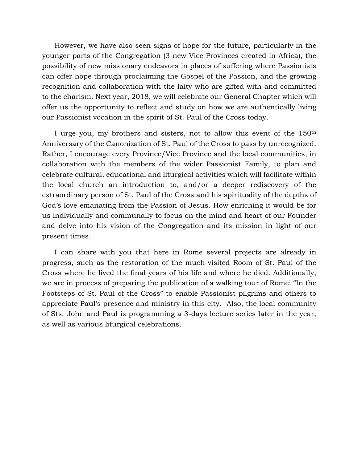However, we have also seen signs of hope for the future, particularly in the younger parts of the Congregation (3 new Vice Provinces created in Africa), the possibility of new missionary endeavors in places of suffering where Passionists can offer hope through proclaiming the Gospel of the Passion, and the growing recognition and collaboration with the laity who are gifted with and committed to the charism. Next year, 2018, we will celebrate our General Chapter which will offer us the opportunity to reflect and study on how we are authentically living our Passionist vocation in the spirit of St. Paul of the Cross today.

I urge you, my brothers and sisters, not to allow this event of the 150<sup>th</sup> Anniversary of the Canonization of St. Paul of the Cross to pass by unrecognized. Rather, I encourage every Province/Vice Province and the local communities, in collaboration with the members of the wider Passionist Family, to plan and celebrate cultural, educational and liturgical activities which will facilitate within the local church an introduction to, and/or a deeper rediscovery of the extraordinary person of St. Paul of the Cross and his spirituality of the depths of God's love emanating from the Passion of Jesus. How enriching it would be for us individually and communally to focus on the mind and heart of our Founder and delve into his vision of the Congregation and its mission in light of our present times.

I can share with you that here in Rome several projects are already in progress, such as the restoration of the much-visited Room of St. Paul of the Cross where he lived the final years of his life and where he died. Additionally, we are in process of preparing the publication of a walking tour of Rome: "In the Footsteps of St. Paul of the Cross" to enable Passionist pilgrims and others to appreciate Paul's presence and ministry in this city. Also, the local community of Sts. John and Paul is programming a 3-days lecture series later in the year, as well as various liturgical celebrations.